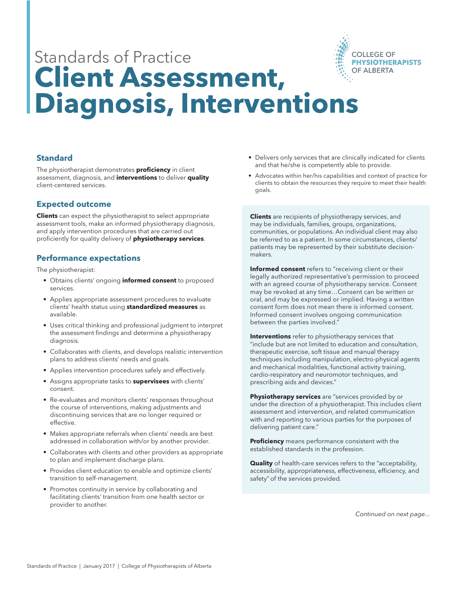

# Standards of Practice **Client Assessment, Diagnosis, Interventions**

## **Standard**

The physiotherapist demonstrates **proficiency** in client assessment, diagnosis, and **interventions** to deliver **quality** client-centered services.

#### **Expected outcome**

**Clients** can expect the physiotherapist to select appropriate assessment tools, make an informed physiotherapy diagnosis, and apply intervention procedures that are carried out proficiently for quality delivery of **physiotherapy services**.

#### **Performance expectations**

The physiotherapist:

- Obtains clients' ongoing **informed consent** to proposed services.
- Applies appropriate assessment procedures to evaluate clients' health status using **standardized measures** as available.
- Uses critical thinking and professional judgment to interpret the assessment findings and determine a physiotherapy diagnosis.
- Collaborates with clients, and develops realistic intervention plans to address clients' needs and goals.
- Applies intervention procedures safely and effectively.
- Assigns appropriate tasks to **supervisees** with clients' consent.
- Re-evaluates and monitors clients' responses throughout the course of interventions, making adjustments and discontinuing services that are no longer required or effective.
- Makes appropriate referrals when clients' needs are best addressed in collaboration with/or by another provider.
- Collaborates with clients and other providers as appropriate to plan and implement discharge plans.
- Provides client education to enable and optimize clients' transition to self-management.
- Promotes continuity in service by collaborating and facilitating clients' transition from one health sector or provider to another.
- Delivers only services that are clinically indicated for clients and that he/she is competently able to provide.
- Advocates within her/his capabilities and context of practice for clients to obtain the resources they require to meet their health goals.

**Clients** are recipients of physiotherapy services, and may be individuals, families, groups, organizations, communities, or populations. An individual client may also be referred to as a patient. In some circumstances, clients/ patients may be represented by their substitute decisionmakers.

**Informed consent** refers to "receiving client or their legally authorized representative's permission to proceed with an agreed course of physiotherapy service. Consent may be revoked at any time…Consent can be written or oral, and may be expressed or implied. Having a written consent form does not mean there is informed consent. Informed consent involves ongoing communication between the parties involved."

**Interventions** refer to physiotherapy services that "include but are not limited to education and consultation, therapeutic exercise, soft tissue and manual therapy techniques including manipulation, electro-physical agents and mechanical modalities, functional activity training, cardio-respiratory and neuromotor techniques, and prescribing aids and devices."

**Physiotherapy services** are "services provided by or under the direction of a physiotherapist. This includes client assessment and intervention, and related communication with and reporting to various parties for the purposes of delivering patient care."

**Proficiency** means performance consistent with the established standards in the profession.

**Quality** of health-care services refers to the "acceptability, accessibility, appropriateness, effectiveness, efficiency, and safety"of the services provided.

*Continued on next page...*